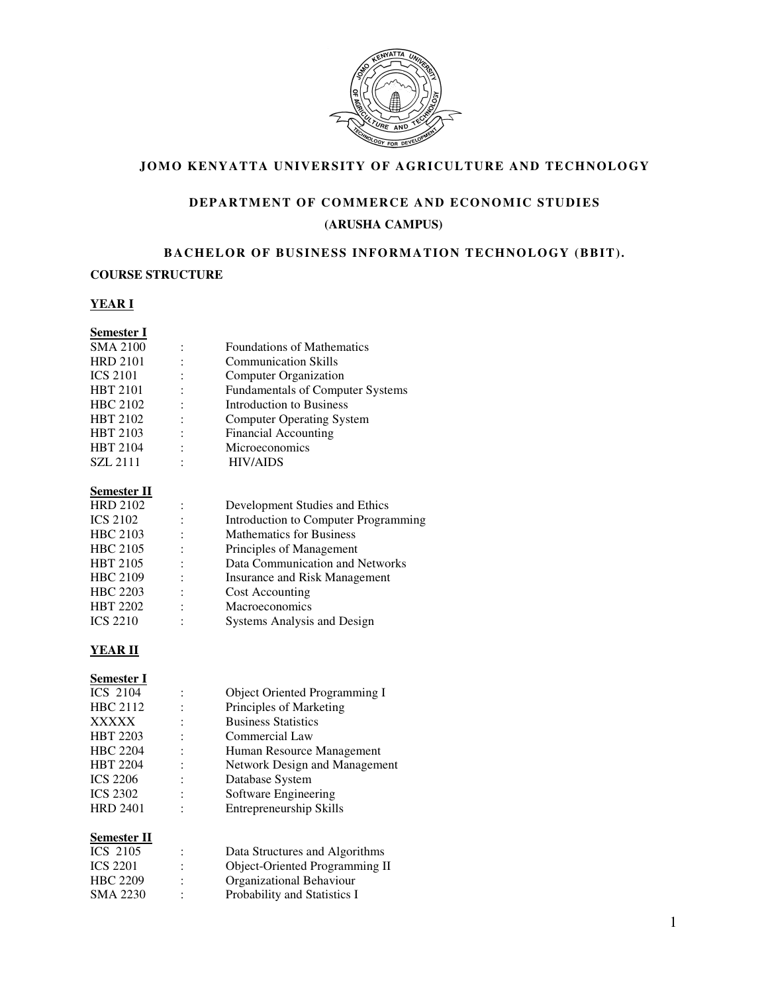

### **JOMO KENYATTA UNIVERSITY OF AGRICULTURE AND TECHNOLOGY**

# DEPARTMENT OF COMMERCE AND ECONOMIC STUDIES **(ARUSHA CAMPUS)**

#### BACHELOR OF BUSINESS INFORMATION TECHNOLOGY (BBIT).

#### **COURSE STRUCTURE**

### **YEAR I**

| <b>Foundations of Mathematics</b>       |
|-----------------------------------------|
| <b>Communication Skills</b>             |
| Computer Organization                   |
| <b>Fundamentals of Computer Systems</b> |
| Introduction to Business                |
| <b>Computer Operating System</b>        |
| <b>Financial Accounting</b>             |
| Microeconomics                          |
| <b>HIV/AIDS</b>                         |
|                                         |

#### **Semester II**

| <b>HRD 2102</b> |                      | Development Studies and Ethics       |
|-----------------|----------------------|--------------------------------------|
| <b>ICS 2102</b> |                      | Introduction to Computer Programming |
| <b>HBC 2103</b> |                      | <b>Mathematics for Business</b>      |
| <b>HBC 2105</b> | $\ddot{\cdot}$       | Principles of Management             |
| <b>HBT 2105</b> | $\ddot{\cdot}$       | Data Communication and Networks      |
| <b>HBC 2109</b> | $\bullet$            | <b>Insurance and Risk Management</b> |
| <b>HBC</b> 2203 | $\ddot{\phantom{a}}$ | Cost Accounting                      |
| <b>HBT 2202</b> |                      | Macroeconomics                       |
| <b>ICS 2210</b> | ٠                    | Systems Analysis and Design          |

### **YEAR II**

# **Semester I**

| <b>ICS 2104</b> |   | Object Oriented Programming I  |
|-----------------|---|--------------------------------|
| HBC 2112        |   | Principles of Marketing        |
| <b>XXXXX</b>    |   | <b>Business Statistics</b>     |
| <b>HBT 2203</b> |   | Commercial Law                 |
| <b>HBC 2204</b> |   | Human Resource Management      |
| <b>HBT 2204</b> | ٠ | Network Design and Management  |
| <b>ICS 2206</b> |   | Database System                |
| <b>ICS 2302</b> |   | Software Engineering           |
| <b>HRD 2401</b> | ٠ | <b>Entrepreneurship Skills</b> |
|                 |   |                                |

#### **Semester II**

| ICS 2105        |   | Data Structures and Algorithms |
|-----------------|---|--------------------------------|
| <b>ICS 2201</b> | ÷ | Object-Oriented Programming II |
| HBC 2209        |   | Organizational Behaviour       |
| SMA 2230        |   | Probability and Statistics I   |